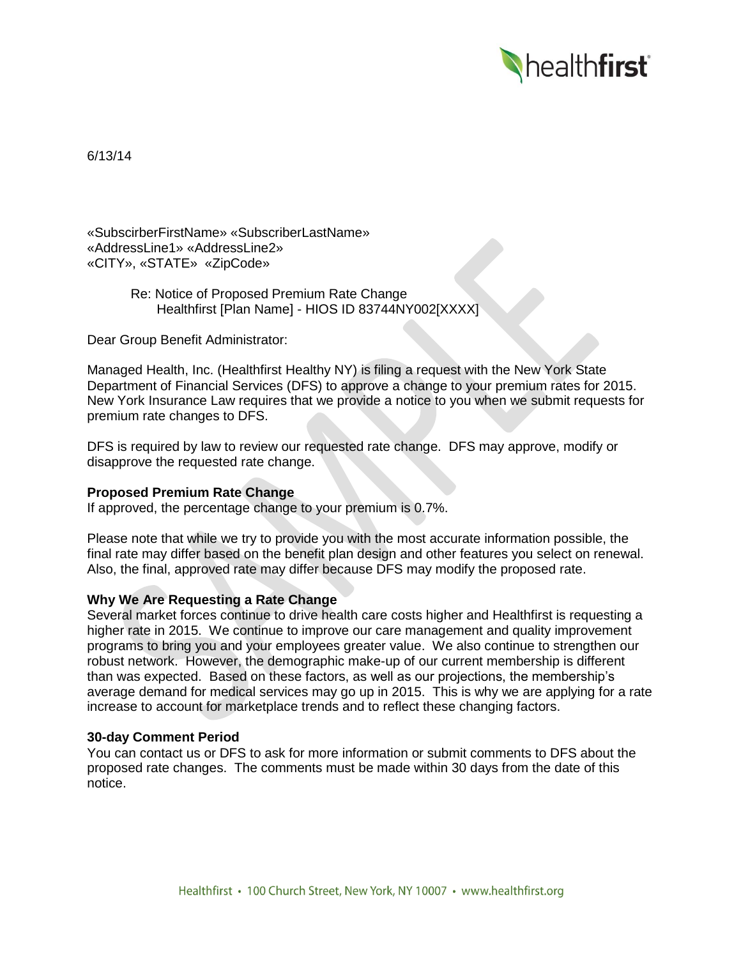

6/13/14

«SubscirberFirstName» «SubscriberLastName» «AddressLine1» «AddressLine2» «CITY», «STATE» «ZipCode»

> Re: Notice of Proposed Premium Rate Change Healthfirst [Plan Name] - HIOS ID 83744NY002[XXXX]

Dear Group Benefit Administrator:

Managed Health, Inc. (Healthfirst Healthy NY) is filing a request with the New York State Department of Financial Services (DFS) to approve a change to your premium rates for 2015. New York Insurance Law requires that we provide a notice to you when we submit requests for premium rate changes to DFS.

DFS is required by law to review our requested rate change. DFS may approve, modify or disapprove the requested rate change.

## **Proposed Premium Rate Change**

If approved, the percentage change to your premium is 0.7%.

Please note that while we try to provide you with the most accurate information possible, the final rate may differ based on the benefit plan design and other features you select on renewal. Also, the final, approved rate may differ because DFS may modify the proposed rate.

## **Why We Are Requesting a Rate Change**

Several market forces continue to drive health care costs higher and Healthfirst is requesting a higher rate in 2015. We continue to improve our care management and quality improvement programs to bring you and your employees greater value. We also continue to strengthen our robust network. However, the demographic make-up of our current membership is different than was expected. Based on these factors, as well as our projections, the membership's average demand for medical services may go up in 2015. This is why we are applying for a rate increase to account for marketplace trends and to reflect these changing factors.

## **30-day Comment Period**

You can contact us or DFS to ask for more information or submit comments to DFS about the proposed rate changes. The comments must be made within 30 days from the date of this notice.